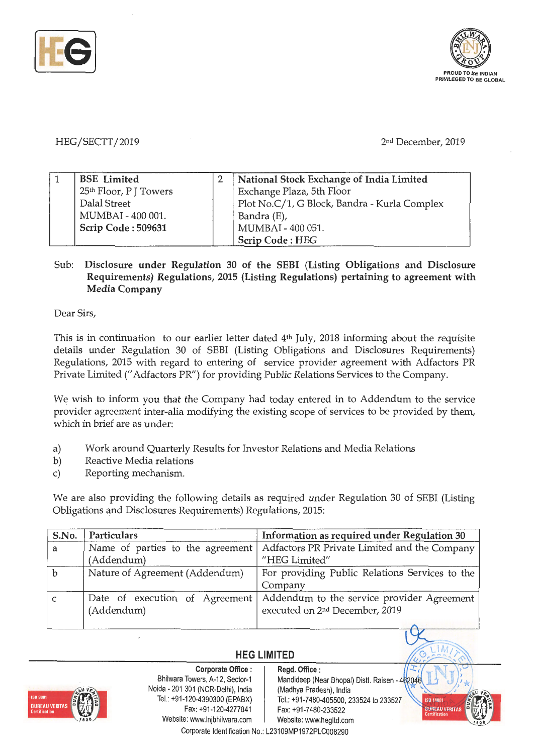

HEG/SECTT/2019 2nd December, 2019

| <b>BSE</b> Limited                 | National Stock Exchange of India Limited     |
|------------------------------------|----------------------------------------------|
| 25 <sup>th</sup> Floor, P J Towers | Exchange Plaza, 5th Floor                    |
| Dalal Street                       | Plot No.C/1, G Block, Bandra - Kurla Complex |
| MUMBAI - 400 001.                  | Bandra (E),                                  |
| Scrip Code: 509631                 | MUMBAI - 400 051.                            |
|                                    | <b>Scrip Code: HEG</b>                       |

## Sub: **Disclosure under Regulation 30 of the SEBI (Listing Obligations and Disclosure Requirements) Regulations, 2015 (Listing Regulations) pertaining to agreement with Media Company**

Dear Sirs,

This is in continuation to our earlier letter dated 4th July, 2018 informing about the requisite details under Regulation 30 of SEBI (Listing Obligations and Disclosures Requirements) Regulations, 2015 with regard to entering of service provider agreement with Adfactors PR Private Limited(" Adfactors PR") for providing Public Relations Services to the Company.

We wish to inform you that the Company had today entered in to Addendum to the service provider agreement inter-alia modifying the existing scope of services to be provided by them, which in brief are as under:

- a) Work around Quarterly Results for Investor Relations and Media Relations
- b) Reactive Media relations

 $\overline{a}$ 

c) Reporting mechanism.

We are also providing the following details as required under Regulation 30 of SEBI (Listing Obligations and Disclosures Requirements) Regulations, 2015:

| S.No.       | Particulars                                  | Information as required under Regulation 30                                              |
|-------------|----------------------------------------------|------------------------------------------------------------------------------------------|
| a           | Name of parties to the agreement             | Adfactors PR Private Limited and the Company                                             |
|             | (Addendum)                                   | "HEG Limited"                                                                            |
| $\mathbf b$ | Nature of Agreement (Addendum)               | For providing Public Relations Services to the<br>Company                                |
| C           | Date of execution of Agreement<br>(Addendum) | Addendum to the service provider Agreement<br>executed on 2 <sup>nd</sup> December, 2019 |
|             |                                              |                                                                                          |

## **HEG LIMITED**



**Corporate Office** : Bhilwara Towers, A-12, Sector-1 Naida - 201 301 (NCR-Delhi), India Tel.: +91-120-4390300 (EPABX) Fax: +91-120-4277841 Website: www.lnjbhilwara.com | Website: www.hegltd.com Corporate Identification No.: L23109MP1972PLC008290

**Regd. Office** :

Mandideep (Near Bhopal) Distt. Raisen - 462046 (Madhya Pradesh), India Tel.: +91-7480-405500, 233524 to 233527 Fax: +91-7480-233522

I A

**SO 1400** 

**BUREAU VER**